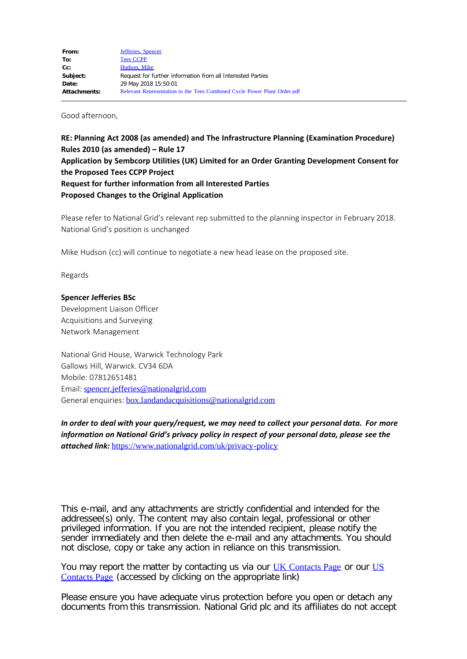Good afternoon,

**RE: Planning Act 2008 (as amended) and The Infrastructure Planning (Examination Procedure) Rules 2010 (as amended) – Rule 17 Application by Sembcorp Utilities (UK) Limited for an Order Granting Development Consent for the Proposed Tees CCPP Project Request for further information from all Interested Parties Proposed Changes to the Original Application**

Please refer to National Grid's relevant rep submitted to the planning inspector in February 2018. National Grid's position is unchanged

Mike Hudson (cc) will continue to negotiate a new head lease on the proposed site.

Regards

## **Spencer Jefferies BSc**

Development Liaison Officer Acquisitions and Surveying Network Management

National Grid House, Warwick Technology Park Gallows Hill, Warwick. CV34 6DA Mobile: 07812651481 Email: [spencer.jefferies@nationalgrid.com](mailto:spencer.jefferies@nationalgrid.com) General enquiries: **[box.landandacquisitions@nationalgrid.com](mailto:box.landandacquisitions@nationalgrid.com)** 

*In order to deal with your query/request, we may need to collect your personal data. For more information on National Grid's privacy policy in respect of your personal data, please see the attached link:* <https://www.nationalgrid.com/uk/privacy-policy>

This e-mail, and any attachments are strictly confidential and intended for the addressee(s) only. The content may also contain legal, professional or other privileged information. If you are not the intended recipient, please notify the sender immediately and then delete the e-mail and any attachments. You should not disclose, copy or take any action in reliance on this transmission.

You may report the matter by contacting us via our [UK Contacts Page](https://www.nationalgrid.com/uk/contact-us/) or our [US](https://www.nationalgridus.com/contact-us) [Contacts Page](https://www.nationalgridus.com/contact-us) (accessed by clicking on the appropriate link)

Please ensure you have adequate virus protection before you open or detach any documents from this transmission. National Grid plc and its affiliates do not accept